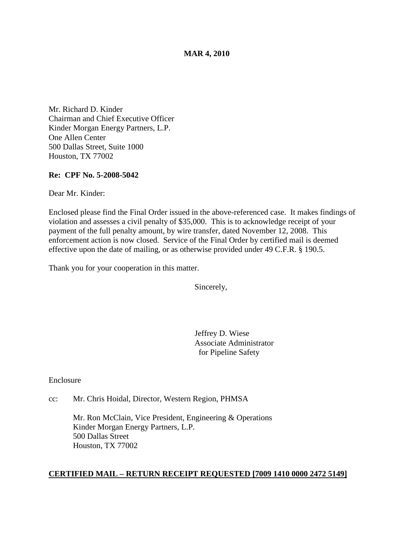#### **MAR 4, 2010**

Mr. Richard D. Kinder Chairman and Chief Executive Officer Kinder Morgan Energy Partners, L.P. One Allen Center 500 Dallas Street, Suite 1000 Houston, TX 77002

#### **Re: CPF No. 5-2008-5042**

Dear Mr. Kinder:

Enclosed please find the Final Order issued in the above-referenced case. It makes findings of violation and assesses a civil penalty of \$35,000. This is to acknowledge receipt of your payment of the full penalty amount, by wire transfer, dated November 12, 2008. This enforcement action is now closed. Service of the Final Order by certified mail is deemed effective upon the date of mailing, or as otherwise provided under 49 C.F.R. § 190.5.

Thank you for your cooperation in this matter.

Sincerely,

Jeffrey D. Wiese Associate Administrator for Pipeline Safety

Enclosure

cc: Mr. Chris Hoidal, Director, Western Region, PHMSA

Mr. Ron McClain, Vice President, Engineering & Operations Kinder Morgan Energy Partners, L.P. 500 Dallas Street Houston, TX 77002

#### **CERTIFIED MAIL – RETURN RECEIPT REQUESTED [7009 1410 0000 2472 5149]**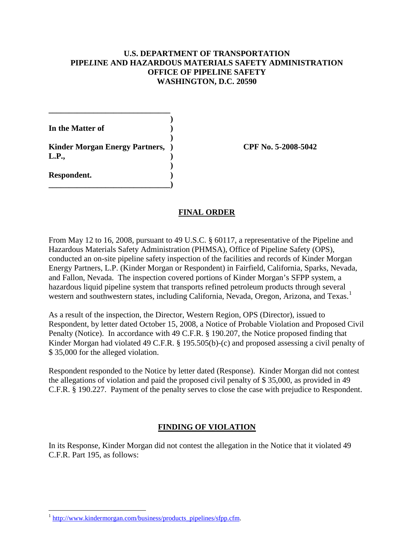## **U.S. DEPARTMENT OF TRANSPORTATION PIPE***L***INE AND HAZARDOUS MATERIALS SAFETY ADMINISTRATION OFFICE OF PIPELINE SAFETY WASHINGTON, D.C. 20590**

**)**

**)**

**In the Matter of )**

**) Kinder Morgan Energy Partners, ) CPF No. 5-2008-5042 L.P., )**

**\_\_\_\_\_\_\_\_\_\_\_\_\_\_\_\_\_\_\_\_\_\_\_\_\_\_\_\_\_\_)**

**\_\_\_\_\_\_\_\_\_\_\_\_\_\_\_\_\_\_\_\_\_\_\_\_\_\_\_\_\_\_**

**Respondent. )**

## **FINAL ORDER**

From May 12 to 16, 2008, pursuant to 49 U.S.C. § 60117, a representative of the Pipeline and Hazardous Materials Safety Administration (PHMSA), Office of Pipeline Safety (OPS), conducted an on-site pipeline safety inspection of the facilities and records of Kinder Morgan Energy Partners, L.P. (Kinder Morgan or Respondent) in Fairfield, California, Sparks, Nevada, and Fallon, Nevada. The inspection covered portions of Kinder Morgan's SFPP system, a hazardous liquid pipeline system that transports refined petroleum products through several western and southwestern states, including California, Nevada, Oregon, Arizona, and Texas.<sup>[1](#page-1-0)</sup>

As a result of the inspection, the Director, Western Region, OPS (Director), issued to Respondent, by letter dated October 15, 2008, a Notice of Probable Violation and Proposed Civil Penalty (Notice). In accordance with 49 C.F.R. § 190.207, the Notice proposed finding that Kinder Morgan had violated 49 C.F.R. § 195.505(b)-(c) and proposed assessing a civil penalty of \$ 35,000 for the alleged violation.

Respondent responded to the Notice by letter dated (Response). Kinder Morgan did not contest the allegations of violation and paid the proposed civil penalty of \$ 35,000, as provided in 49 C.F.R. § 190.227. Payment of the penalty serves to close the case with prejudice to Respondent.

# **FINDING OF VIOLATION**

In its Response, Kinder Morgan did not contest the allegation in the Notice that it violated 49 C.F.R. Part 195, as follows:

<span id="page-1-0"></span> $1 \text{ http://www.kindermorgan.com/business/products-pipelines/sfpp.cfm.}$